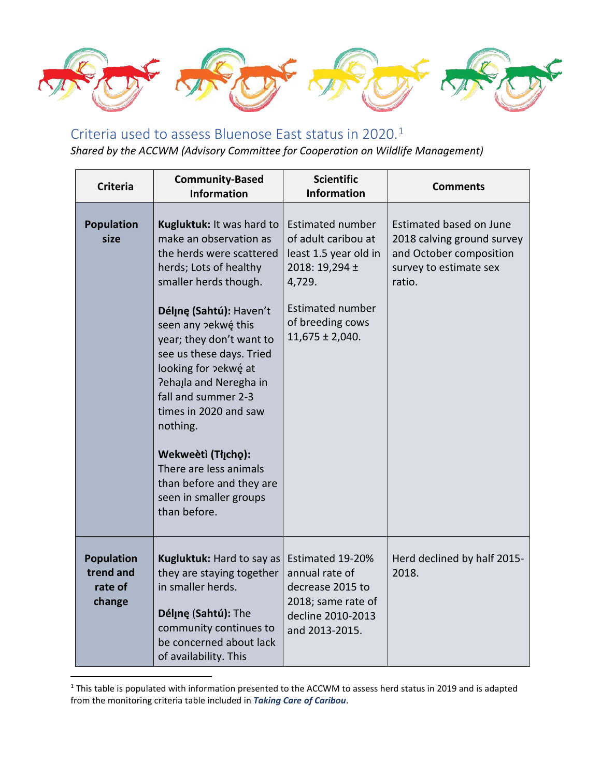

## Criteria used to assess Bluenose East status in 2020.[1](#page-0-0)

*Shared by the ACCWM (Advisory Committee for Cooperation on Wildlife Management)*

| <b>Criteria</b>                                     | <b>Community-Based</b><br><b>Information</b>                                                                                                                                                                                                                                                                                                                                                                                                                                     | <b>Scientific</b><br><b>Information</b>                                                                                                                                   | <b>Comments</b>                                                                                                      |
|-----------------------------------------------------|----------------------------------------------------------------------------------------------------------------------------------------------------------------------------------------------------------------------------------------------------------------------------------------------------------------------------------------------------------------------------------------------------------------------------------------------------------------------------------|---------------------------------------------------------------------------------------------------------------------------------------------------------------------------|----------------------------------------------------------------------------------------------------------------------|
| <b>Population</b><br>size                           | Kugluktuk: It was hard to<br>make an observation as<br>the herds were scattered<br>herds; Lots of healthy<br>smaller herds though.<br>Déline (Sahtú): Haven't<br>seen any pekwé this<br>year; they don't want to<br>see us these days. Tried<br>looking for pekwé at<br>Pehajla and Neregha in<br>fall and summer 2-3<br>times in 2020 and saw<br>nothing.<br>Wekweètì (Tłįcho):<br>There are less animals<br>than before and they are<br>seen in smaller groups<br>than before. | <b>Estimated number</b><br>of adult caribou at<br>least 1.5 year old in<br>2018: 19,294 ±<br>4,729.<br><b>Estimated number</b><br>of breeding cows<br>$11,675 \pm 2,040.$ | Estimated based on June<br>2018 calving ground survey<br>and October composition<br>survey to estimate sex<br>ratio. |
| <b>Population</b><br>trend and<br>rate of<br>change | Kugluktuk: Hard to say as<br>they are staying together<br>in smaller herds.<br>Délinę (Sahtú): The<br>community continues to<br>be concerned about lack<br>of availability. This                                                                                                                                                                                                                                                                                                 | Estimated 19-20%<br>annual rate of<br>decrease 2015 to<br>2018; same rate of<br>decline 2010-2013<br>and 2013-2015.                                                       | Herd declined by half 2015-<br>2018.                                                                                 |

<span id="page-0-0"></span><sup>&</sup>lt;sup>1</sup> This table is populated with information presented to the ACCWM to assess herd status in 2019 and is adapted from the monitoring criteria table included in *Taking Care of Caribou*.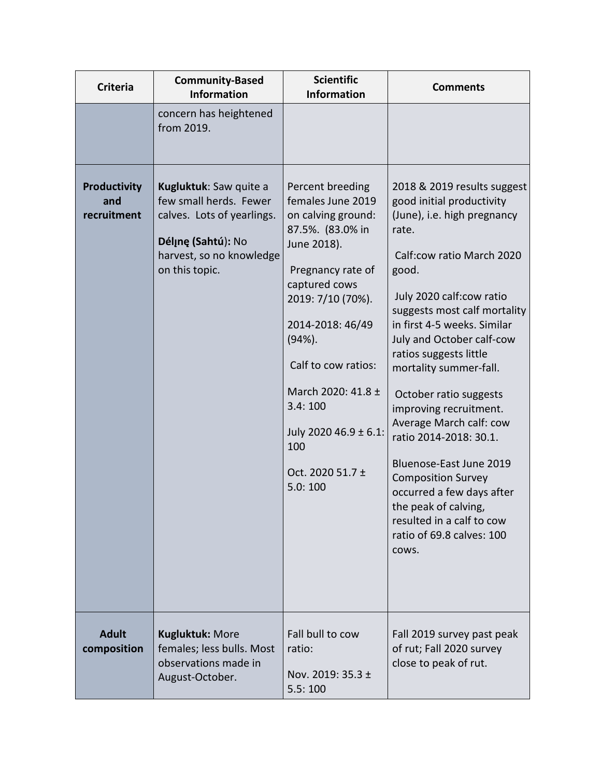| <b>Criteria</b>                    | <b>Community-Based</b><br><b>Information</b>                                                                                                       | <b>Scientific</b><br><b>Information</b>                                                                                                                                                                                                                                                                           | <b>Comments</b>                                                                                                                                                                                                                                                                                                                                                                                                                                                                                                                                                                                             |
|------------------------------------|----------------------------------------------------------------------------------------------------------------------------------------------------|-------------------------------------------------------------------------------------------------------------------------------------------------------------------------------------------------------------------------------------------------------------------------------------------------------------------|-------------------------------------------------------------------------------------------------------------------------------------------------------------------------------------------------------------------------------------------------------------------------------------------------------------------------------------------------------------------------------------------------------------------------------------------------------------------------------------------------------------------------------------------------------------------------------------------------------------|
|                                    | concern has heightened<br>from 2019.                                                                                                               |                                                                                                                                                                                                                                                                                                                   |                                                                                                                                                                                                                                                                                                                                                                                                                                                                                                                                                                                                             |
| Productivity<br>and<br>recruitment | Kugluktuk: Saw quite a<br>few small herds. Fewer<br>calves. Lots of yearlings.<br>Délįnę (Sahtú): No<br>harvest, so no knowledge<br>on this topic. | Percent breeding<br>females June 2019<br>on calving ground:<br>87.5%. (83.0% in<br>June 2018).<br>Pregnancy rate of<br>captured cows<br>2019: 7/10 (70%).<br>2014-2018: 46/49<br>$(94%)$ .<br>Calf to cow ratios:<br>March 2020: 41.8 ±<br>3.4:100<br>July 2020 46.9 ± 6.1:<br>100<br>Oct. 2020 51.7 ±<br>5.0:100 | 2018 & 2019 results suggest<br>good initial productivity<br>(June), i.e. high pregnancy<br>rate.<br>Calf:cow ratio March 2020<br>good.<br>July 2020 calf:cow ratio<br>suggests most calf mortality<br>in first 4-5 weeks. Similar<br>July and October calf-cow<br>ratios suggests little<br>mortality summer-fall.<br>October ratio suggests<br>improving recruitment.<br>Average March calf: cow<br>ratio 2014-2018: 30.1.<br>Bluenose-East June 2019<br><b>Composition Survey</b><br>occurred a few days after<br>the peak of calving,<br>resulted in a calf to cow<br>ratio of 69.8 calves: 100<br>COWS. |
| <b>Adult</b><br>composition        | <b>Kugluktuk: More</b><br>females; less bulls. Most<br>observations made in<br>August-October.                                                     | Fall bull to cow<br>ratio:<br>Nov. 2019: 35.3 ±<br>5.5:100                                                                                                                                                                                                                                                        | Fall 2019 survey past peak<br>of rut; Fall 2020 survey<br>close to peak of rut.                                                                                                                                                                                                                                                                                                                                                                                                                                                                                                                             |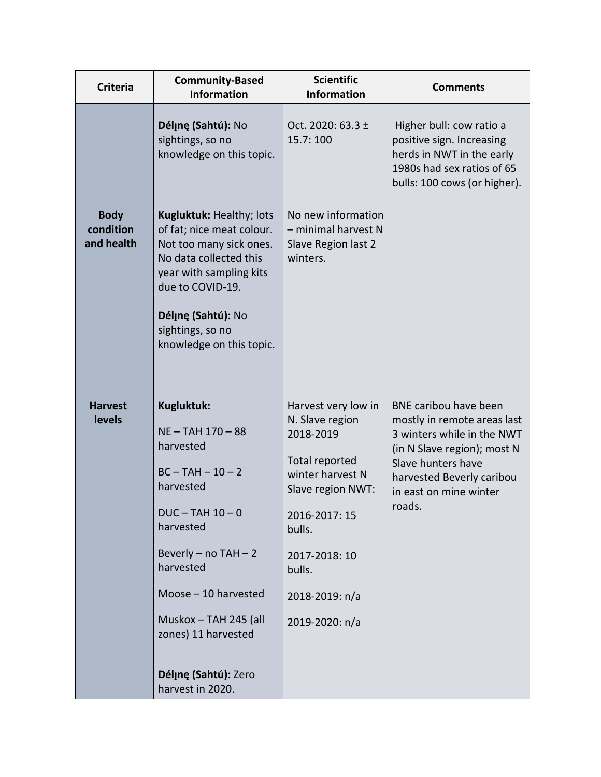| <b>Criteria</b>                        | <b>Community-Based</b><br><b>Information</b>                                                                                                                                                                                    | <b>Scientific</b><br><b>Information</b>                                                                                                                                                                  | <b>Comments</b>                                                                                                                                                                                          |
|----------------------------------------|---------------------------------------------------------------------------------------------------------------------------------------------------------------------------------------------------------------------------------|----------------------------------------------------------------------------------------------------------------------------------------------------------------------------------------------------------|----------------------------------------------------------------------------------------------------------------------------------------------------------------------------------------------------------|
|                                        | Délinę (Sahtú): No<br>sightings, so no<br>knowledge on this topic.                                                                                                                                                              | Oct. 2020: 63.3 ±<br>15.7: 100                                                                                                                                                                           | Higher bull: cow ratio a<br>positive sign. Increasing<br>herds in NWT in the early<br>1980s had sex ratios of 65<br>bulls: 100 cows (or higher).                                                         |
| <b>Body</b><br>condition<br>and health | Kugluktuk: Healthy; lots<br>of fat; nice meat colour.<br>Not too many sick ones.<br>No data collected this<br>year with sampling kits<br>due to COVID-19.<br>Délįnę (Sahtú): No<br>sightings, so no<br>knowledge on this topic. | No new information<br>- minimal harvest N<br>Slave Region last 2<br>winters.                                                                                                                             |                                                                                                                                                                                                          |
| <b>Harvest</b><br>levels               | Kugluktuk:<br>NE-TAH 170-88<br>harvested<br>$BC - TAH - 10 - 2$<br>harvested<br>$DUC - TAH$ 10 - 0<br>harvested<br>Beverly $-$ no TAH $-2$<br>harvested<br>Moose - 10 harvested<br>Muskox - TAH 245 (all<br>zones) 11 harvested | Harvest very low in<br>N. Slave region<br>2018-2019<br>Total reported<br>winter harvest N<br>Slave region NWT:<br>2016-2017: 15<br>bulls.<br>2017-2018: 10<br>bulls.<br>2018-2019: n/a<br>2019-2020: n/a | BNE caribou have been<br>mostly in remote areas last<br>3 winters while in the NWT<br>(in N Slave region); most N<br>Slave hunters have<br>harvested Beverly caribou<br>in east on mine winter<br>roads. |
|                                        | Déline (Sahtú): Zero<br>harvest in 2020.                                                                                                                                                                                        |                                                                                                                                                                                                          |                                                                                                                                                                                                          |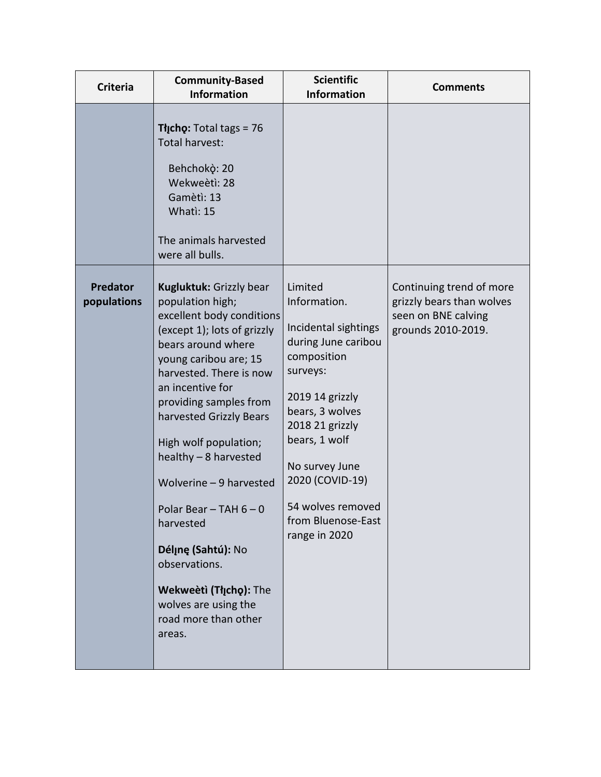| <b>Criteria</b>                | <b>Community-Based</b><br><b>Information</b>                                                                                                                                                                                                                                                                                                                                                                                                                                                                  | <b>Scientific</b><br><b>Information</b>                                                                                                                                                                                                                                      | <b>Comments</b>                                                                                    |
|--------------------------------|---------------------------------------------------------------------------------------------------------------------------------------------------------------------------------------------------------------------------------------------------------------------------------------------------------------------------------------------------------------------------------------------------------------------------------------------------------------------------------------------------------------|------------------------------------------------------------------------------------------------------------------------------------------------------------------------------------------------------------------------------------------------------------------------------|----------------------------------------------------------------------------------------------------|
|                                | Tłįcho: Total tags = 76<br>Total harvest:<br>Behchokò: 20<br>Wekweètì: 28<br>Gamètì: 13<br>Whati: 15<br>The animals harvested<br>were all bulls.                                                                                                                                                                                                                                                                                                                                                              |                                                                                                                                                                                                                                                                              |                                                                                                    |
| <b>Predator</b><br>populations | Kugluktuk: Grizzly bear<br>population high;<br>excellent body conditions<br>(except 1); lots of grizzly<br>bears around where<br>young caribou are; 15<br>harvested. There is now<br>an incentive for<br>providing samples from<br>harvested Grizzly Bears<br>High wolf population;<br>healthy - 8 harvested<br>Wolverine - 9 harvested<br>Polar Bear $-$ TAH 6 $-$ 0<br>harvested<br>Délinę (Sahtú): No<br>observations.<br>Wekweeti (Tłįchę): The<br>wolves are using the<br>road more than other<br>areas. | Limited<br>Information.<br>Incidental sightings<br>during June caribou<br>composition<br>surveys:<br>2019 14 grizzly<br>bears, 3 wolves<br>2018 21 grizzly<br>bears, 1 wolf<br>No survey June<br>2020 (COVID-19)<br>54 wolves removed<br>from Bluenose-East<br>range in 2020 | Continuing trend of more<br>grizzly bears than wolves<br>seen on BNE calving<br>grounds 2010-2019. |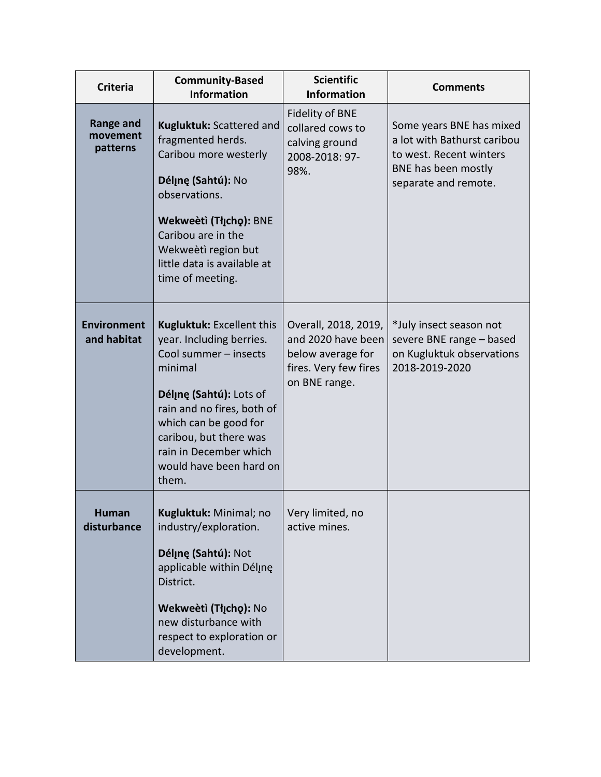| <b>Criteria</b>                          | <b>Community-Based</b><br><b>Information</b>                                                                                                                                                                                                                               | <b>Scientific</b><br><b>Information</b>                                                                   | <b>Comments</b>                                                                                                                   |
|------------------------------------------|----------------------------------------------------------------------------------------------------------------------------------------------------------------------------------------------------------------------------------------------------------------------------|-----------------------------------------------------------------------------------------------------------|-----------------------------------------------------------------------------------------------------------------------------------|
| <b>Range and</b><br>movement<br>patterns | Kugluktuk: Scattered and<br>fragmented herds.<br>Caribou more westerly<br>Déljne (Sahtú): No<br>observations.<br>Wekweeti (Tłįchę): BNE<br>Caribou are in the<br>Wekweètì region but<br>little data is available at<br>time of meeting.                                    | <b>Fidelity of BNE</b><br>collared cows to<br>calving ground<br>2008-2018: 97-<br>98%.                    | Some years BNE has mixed<br>a lot with Bathurst caribou<br>to west. Recent winters<br>BNE has been mostly<br>separate and remote. |
| <b>Environment</b><br>and habitat        | <b>Kugluktuk: Excellent this</b><br>year. Including berries.<br>Cool summer - insects<br>minimal<br>Déline (Sahtú): Lots of<br>rain and no fires, both of<br>which can be good for<br>caribou, but there was<br>rain in December which<br>would have been hard on<br>them. | Overall, 2018, 2019,<br>and 2020 have been<br>below average for<br>fires. Very few fires<br>on BNE range. | *July insect season not<br>severe BNE range - based<br>on Kugluktuk observations<br>2018-2019-2020                                |
| <b>Human</b><br>disturbance              | <b>Kugluktuk:</b> Minimal; no<br>industry/exploration.<br>Délinę (Sahtú): Not<br>applicable within Délıne<br>District.<br>Wekweètì (Tłycho): No<br>new disturbance with<br>respect to exploration or<br>development.                                                       | Very limited, no<br>active mines.                                                                         |                                                                                                                                   |